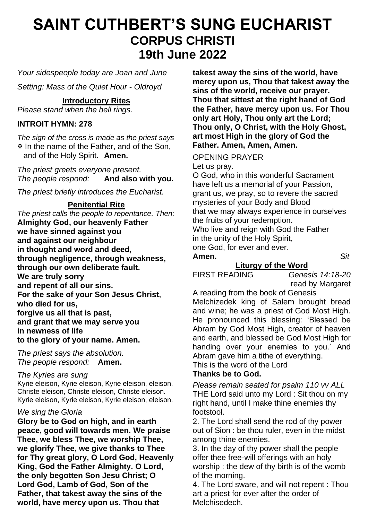# **SAINT CUTHBERT'S SUNG EUCHARIST CORPUS CHRISTI 19th June 2022**

*Your sidespeople today are Joan and June*

*Setting: Mass of the Quiet Hour - Oldroyd*

# **Introductory Rites**

*Please stand when the bell rings.*

# **INTROIT HYMN: 278**

*The sign of the cross is made as the priest says* In the name of the Father, and of the Son, and of the Holy Spirit. **Amen.**

*The priest greets everyone present. The people respond:* 

*The priest briefly introduces the Eucharist.*

### **Penitential Rite**

*The priest calls the people to repentance. Then:* **Almighty God, our heavenly Father we have sinned against you and against our neighbour in thought and word and deed, through negligence, through weakness, through our own deliberate fault. We are truly sorry and repent of all our sins. For the sake of your Son Jesus Christ, who died for us, forgive us all that is past, and grant that we may serve you in newness of life to the glory of your name. Amen.**

*The priest says the absolution. The people respond:* **Amen.**

# *The Kyries are sung*

Kyrie eleison, Kyrie eleison, Kyrie eleison, eleison. Christe eleison, Christe eleison, Christe eleison. Kyrie eleison, Kyrie eleison, Kyrie eleison, eleison.

#### *We sing the Gloria*

**Glory be to God on high, and in earth peace, good will towards men. We praise Thee, we bless Thee, we worship Thee, we glorify Thee, we give thanks to Thee for Thy great glory, O Lord God, Heavenly King, God the Father Almighty. O Lord, the only begotten Son Jesu Christ; O Lord God, Lamb of God, Son of the Father, that takest away the sins of the world, have mercy upon us. Thou that** 

**takest away the sins of the world, have mercy upon us, Thou that takest away the sins of the world, receive our prayer. Thou that sittest at the right hand of God the Father, have mercy upon us. For Thou only art Holy, Thou only art the Lord; Thou only, O Christ, with the Holy Ghost, art most High in the glory of God the Father. Amen, Amen, Amen.**

### OPENING PRAYER

Let us pray.

O God, who in this wonderful Sacrament have left us a memorial of your Passion, grant us, we pray, so to revere the sacred mysteries of your Body and Blood that we may always experience in ourselves the fruits of your redemption. Who live and reign with God the Father in the unity of the Holy Spirit, one God, for ever and ever.

**Amen.** *Sit*

**Liturgy of the Word**<br>FIRST READING Gene

Genesis 14:18-20 read by Margaret

A reading from the book of Genesis Melchizedek king of Salem brought bread and wine; he was a priest of God Most High. He pronounced this blessing: 'Blessed be Abram by God Most High, creator of heaven and earth, and blessed be God Most High for handing over your enemies to you.' And Abram gave him a tithe of everything. This is the word of the Lord

# **Thanks be to God.**

*Please remain seated for psalm 110 vv ALL* THE Lord said unto my Lord : Sit thou on my right hand, until I make thine enemies thy footstool.

2. The Lord shall send the rod of thy power out of Sion : be thou ruler, even in the midst among thine enemies.

3. In the day of thy power shall the people offer thee free-will offerings with an holy worship : the dew of thy birth is of the womb of the morning.

4. The Lord sware, and will not repent : Thou art a priest for ever after the order of Melchisedech.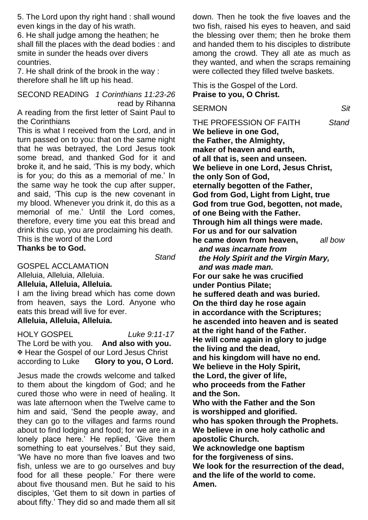5. The Lord upon thy right hand : shall wound even kings in the day of his wrath.

6. He shall judge among the heathen; he shall fill the places with the dead bodies : and smite in sunder the heads over divers countries.

7. He shall drink of the brook in the way : therefore shall he lift up his head.

SECOND READING *1 Corinthians 11:23-26* read by Rihanna

A reading from the first letter of Saint Paul to the Corinthians

This is what I received from the Lord, and in turn passed on to you: that on the same night that he was betrayed, the Lord Jesus took some bread, and thanked God for it and broke it, and he said, 'This is my body, which is for you; do this as a memorial of me.' In the same way he took the cup after supper, and said, 'This cup is the new covenant in my blood. Whenever you drink it, do this as a memorial of me.' Until the Lord comes, therefore, every time you eat this bread and drink this cup, you are proclaiming his death. This is the word of the Lord

**Thanks be to God.**

 *Stand*

GOSPEL ACCLAMATION

Alleluia, Alleluia, Alleluia.

# **Alleluia, Alleluia, Alleluia.**

I am the living bread which has come down from heaven, says the Lord. Anyone who eats this bread will live for ever. **Alleluia, Alleluia, Alleluia.**

HOLY GOSPEL *Luke 9:11-17*

The Lord be with you. **And also with you. EX** Hear the Gospel of our Lord Jesus Christ<br>according to Luke **Glory to you, O Lord** Glory to you, O Lord.

Jesus made the crowds welcome and talked to them about the kingdom of God; and he cured those who were in need of healing. It was late afternoon when the Twelve came to him and said, 'Send the people away, and they can go to the villages and farms round about to find lodging and food; for we are in a lonely place here.' He replied, 'Give them something to eat yourselves.' But they said, 'We have no more than five loaves and two fish, unless we are to go ourselves and buy food for all these people.' For there were about five thousand men. But he said to his disciples, 'Get them to sit down in parties of about fifty.' They did so and made them all sit

down. Then he took the five loaves and the two fish, raised his eyes to heaven, and said the blessing over them; then he broke them and handed them to his disciples to distribute among the crowd. They all ate as much as they wanted, and when the scraps remaining were collected they filled twelve baskets.

This is the Gospel of the Lord. **Praise to you, O Christ.**

SERMON *Sit*

THE PROFESSION OF FAITH *Stand* **We believe in one God, the Father, the Almighty, maker of heaven and earth, of all that is, seen and unseen. We believe in one Lord, Jesus Christ, the only Son of God, eternally begotten of the Father, God from God, Light from Light, true God from true God, begotten, not made, of one Being with the Father. Through him all things were made. For us and for our salvation he came down from heaven,** *all bow and was incarnate from the Holy Spirit and the Virgin Mary, and was made man.* **For our sake he was crucified under Pontius Pilate; he suffered death and was buried. On the third day he rose again in accordance with the Scriptures; he ascended into heaven and is seated at the right hand of the Father. He will come again in glory to judge the living and the dead, and his kingdom will have no end. We believe in the Holy Spirit, the Lord, the giver of life, who proceeds from the Father and the Son. Who with the Father and the Son is worshipped and glorified. who has spoken through the Prophets. We believe in one holy catholic and apostolic Church. We acknowledge one baptism for the forgiveness of sins. We look for the resurrection of the dead, and the life of the world to come. Amen.**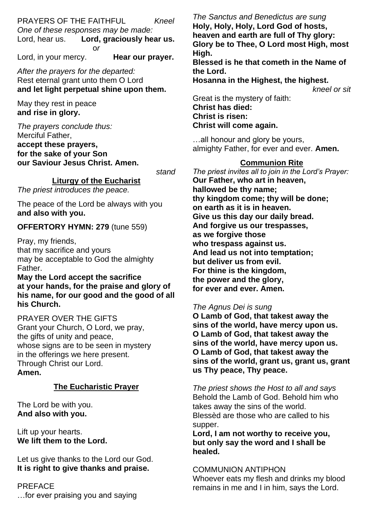PRAYERS OF THE FAITHFUL *Kneel One of these responses may be made:* Lord, graciously hear us. o*r*

Lord, in your mercy. **Hear our prayer.**

*After the prayers for the departed:* Rest eternal grant unto them O Lord **and let light perpetual shine upon them.**

May they rest in peace **and rise in glory.**

*The prayers conclude thus:* Merciful Father, **accept these prayers, for the sake of your Son our Saviour Jesus Christ. Amen.**

*stand*

**Liturgy of the Eucharist**

*The priest introduces the peace.*

The peace of the Lord be always with you **and also with you.**

#### **OFFERTORY HYMN: 279** (tune 559)

Pray, my friends, that my sacrifice and yours may be acceptable to God the almighty Father.

**May the Lord accept the sacrifice at your hands, for the praise and glory of his name, for our good and the good of all his Church.**

PRAYER OVER THE GIFTS Grant your Church, O Lord, we pray, the gifts of unity and peace, whose signs are to be seen in mystery in the offerings we here present. Through Christ our Lord. **Amen.**

#### **The Eucharistic Prayer**

The Lord be with you. **And also with you.** 

Lift up your hearts. **We lift them to the Lord.**

Let us give thanks to the Lord our God. **It is right to give thanks and praise.**

**PREFACE** …for ever praising you and saying

*The Sanctus and Benedictus are sung* **Holy, Holy, Holy, Lord God of hosts, heaven and earth are full of Thy glory: Glory be to Thee, O Lord most High, most High. Blessed is he that cometh in the Name of the Lord. Hosanna in the Highest, the highest.** *kneel or sit*

Great is the mystery of faith: **Christ has died: Christ is risen: Christ will come again.**

…all honour and glory be yours, almighty Father, for ever and ever. **Amen.**

#### **Communion Rite**

*The priest invites all to join in the Lord's Prayer:* **Our Father, who art in heaven, hallowed be thy name; thy kingdom come; thy will be done; on earth as it is in heaven. Give us this day our daily bread. And forgive us our trespasses, as we forgive those who trespass against us. And lead us not into temptation; but deliver us from evil. For thine is the kingdom, the power and the glory, for ever and ever. Amen.**

#### *The Agnus Dei is sung*

**O Lamb of God, that takest away the sins of the world, have mercy upon us. O Lamb of God, that takest away the sins of the world, have mercy upon us. O Lamb of God, that takest away the sins of the world, grant us, grant us, grant us Thy peace, Thy peace.**

*The priest shows the Host to all and says* Behold the Lamb of God. Behold him who takes away the sins of the world. Blessèd are those who are called to his supper.

**Lord, I am not worthy to receive you, but only say the word and I shall be healed.**

#### COMMUNION ANTIPHON

Whoever eats my flesh and drinks my blood remains in me and I in him, says the Lord.